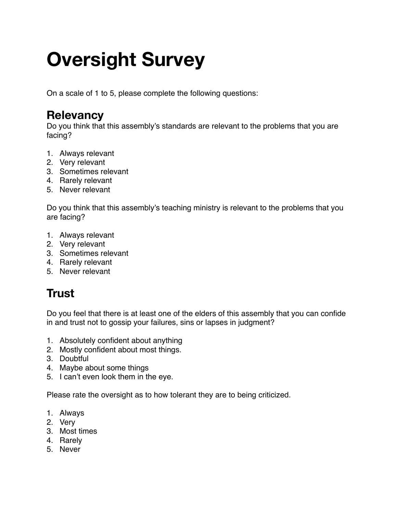# **Oversight Survey**

On a scale of 1 to 5, please complete the following questions:

### **Relevancy**

Do you think that this assembly's standards are relevant to the problems that you are facing?

- 1. Always relevant
- 2. Very relevant
- 3. Sometimes relevant
- 4. Rarely relevant
- 5. Never relevant

Do you think that this assembly's teaching ministry is relevant to the problems that you are facing?

- 1. Always relevant
- 2. Very relevant
- 3. Sometimes relevant
- 4. Rarely relevant
- 5. Never relevant

# **Trust**

Do you feel that there is at least one of the elders of this assembly that you can confide in and trust not to gossip your failures, sins or lapses in judgment?

- 1. Absolutely confident about anything
- 2. Mostly confident about most things.
- 3. Doubtful
- 4. Maybe about some things
- 5. I can't even look them in the eye.

Please rate the oversight as to how tolerant they are to being criticized.

- 1. Always
- 2. Very
- 3. Most times
- 4. Rarely
- 5. Never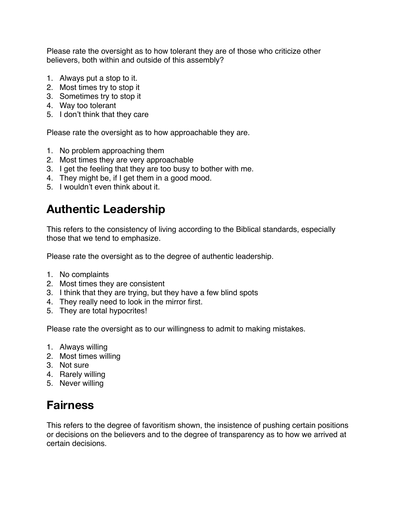Please rate the oversight as to how tolerant they are of those who criticize other believers, both within and outside of this assembly?

- 1. Always put a stop to it.
- 2. Most times try to stop it
- 3. Sometimes try to stop it
- 4. Way too tolerant
- 5. I don't think that they care

Please rate the oversight as to how approachable they are.

- 1. No problem approaching them
- 2. Most times they are very approachable
- 3. I get the feeling that they are too busy to bother with me.
- 4. They might be, if I get them in a good mood.
- 5. I wouldn't even think about it.

#### **Authentic Leadership**

This refers to the consistency of living according to the Biblical standards, especially those that we tend to emphasize.

Please rate the oversight as to the degree of authentic leadership.

- 1. No complaints
- 2. Most times they are consistent
- 3. I think that they are trying, but they have a few blind spots
- 4. They really need to look in the mirror first.
- 5. They are total hypocrites!

Please rate the oversight as to our willingness to admit to making mistakes.

- 1. Always willing
- 2. Most times willing
- 3. Not sure
- 4. Rarely willing
- 5. Never willing

#### **Fairness**

This refers to the degree of favoritism shown, the insistence of pushing certain positions or decisions on the believers and to the degree of transparency as to how we arrived at certain decisions.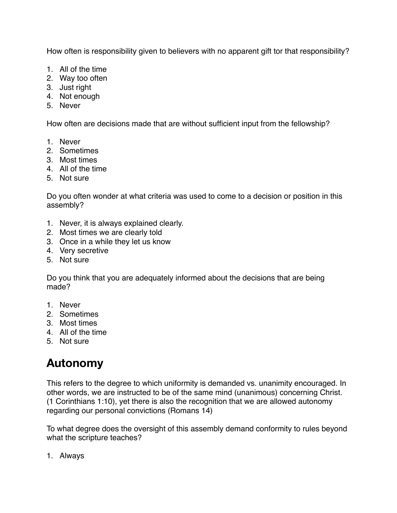How often is responsibility given to believers with no apparent gift tor that responsibility?

- 1. All of the time
- 2. Way too often
- 3. Just right
- 4. Not enough
- 5. Never

How often are decisions made that are without sufficient input from the fellowship?

- 1. Never
- 2. Sometimes
- 3. Most times
- 4. All of the time
- 5. Not sure

Do you often wonder at what criteria was used to come to a decision or position in this assembly?

- 1. Never, it is always explained clearly.
- 2. Most times we are clearly told
- 3. Once in a while they let us know
- 4. Very secretive
- 5. Not sure

Do you think that you are adequately informed about the decisions that are being made?

- 1. Never
- 2. Sometimes
- 3. Most times
- 4. All of the time
- 5. Not sure

# **Autonomy**

This refers to the degree to which uniformity is demanded vs. unanimity encouraged. In other words, we are instructed to be of the same mind (unanimous) concerning Christ. (1 Corinthians 1:10), yet there is also the recognition that we are allowed autonomy regarding our personal convictions (Romans 14)

To what degree does the oversight of this assembly demand conformity to rules beyond what the scripture teaches?

1. Always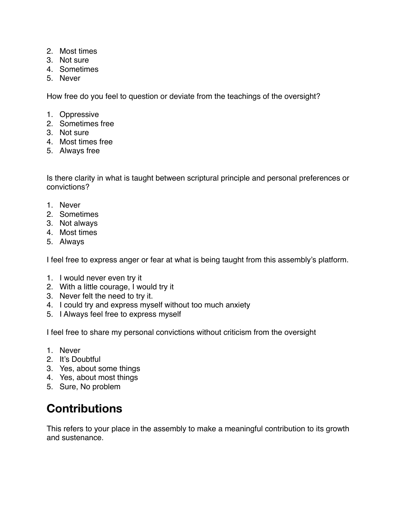- 2. Most times
- 3. Not sure
- 4. Sometimes
- 5. Never

How free do you feel to question or deviate from the teachings of the oversight?

- 1. Oppressive
- 2. Sometimes free
- 3. Not sure
- 4. Most times free
- 5. Always free

Is there clarity in what is taught between scriptural principle and personal preferences or convictions?

- 1. Never
- 2. Sometimes
- 3. Not always
- 4. Most times
- 5. Always

I feel free to express anger or fear at what is being taught from this assembly's platform.

- 1. I would never even try it
- 2. With a little courage, I would try it
- 3. Never felt the need to try it.
- 4. I could try and express myself without too much anxiety
- 5. I Always feel free to express myself

I feel free to share my personal convictions without criticism from the oversight

- 1. Never
- 2. It's Doubtful
- 3. Yes, about some things
- 4. Yes, about most things
- 5. Sure, No problem

## **Contributions**

This refers to your place in the assembly to make a meaningful contribution to its growth and sustenance.